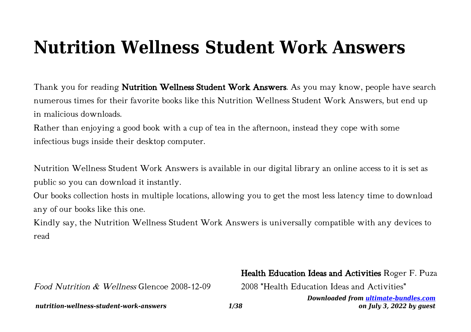# **Nutrition Wellness Student Work Answers**

Thank you for reading **Nutrition Wellness Student Work Answers**. As you may know, people have search numerous times for their favorite books like this Nutrition Wellness Student Work Answers, but end up in malicious downloads.

Rather than enjoying a good book with a cup of tea in the afternoon, instead they cope with some infectious bugs inside their desktop computer.

Nutrition Wellness Student Work Answers is available in our digital library an online access to it is set as public so you can download it instantly.

Our books collection hosts in multiple locations, allowing you to get the most less latency time to download any of our books like this one.

Kindly say, the Nutrition Wellness Student Work Answers is universally compatible with any devices to read

# Health Education Ideas and Activities Roger F. Puza

2008 "Health Education Ideas and Activities"

*Downloaded from [ultimate-bundles.com](http://ultimate-bundles.com) on July 3, 2022 by guest*

Food Nutrition & Wellness Glencoe 2008-12-09

*nutrition-wellness-student-work-answers 1/38*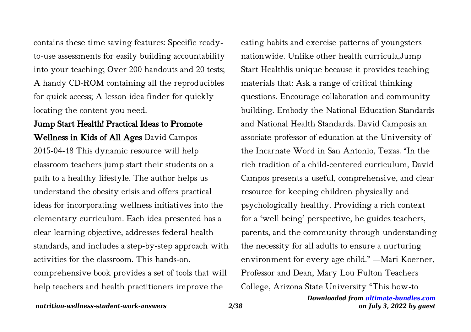contains these time saving features: Specific readyto-use assessments for easily building accountability into your teaching; Over 200 handouts and 20 tests; A handy CD-ROM containing all the reproducibles for quick access; A lesson idea finder for quickly locating the content you need.

Jump Start Health! Practical Ideas to Promote Wellness in Kids of All Ages David Campos 2015-04-18 This dynamic resource will help classroom teachers jump start their students on a path to a healthy lifestyle. The author helps us understand the obesity crisis and offers practical ideas for incorporating wellness initiatives into the elementary curriculum. Each idea presented has a clear learning objective, addresses federal health standards, and includes a step-by-step approach with activities for the classroom. This hands-on, comprehensive book provides a set of tools that will help teachers and health practitioners improve the

eating habits and exercise patterns of youngsters nationwide. Unlike other health curricula,Jump Start Health! is unique because it provides teaching materials that: Ask a range of critical thinking questions. Encourage collaboration and community building. Embody the National Education Standards and National Health Standards. David Camposis an associate professor of education at the University of the Incarnate Word in San Antonio, Texas. "In the rich tradition of a child-centered curriculum, David Campos presents a useful, comprehensive, and clear resource for keeping children physically and psychologically healthy. Providing a rich context for a 'well being' perspective, he guides teachers, parents, and the community through understanding the necessity for all adults to ensure a nurturing environment for every age child." —Mari Koerner, Professor and Dean, Mary Lou Fulton Teachers College, Arizona State University "This how-to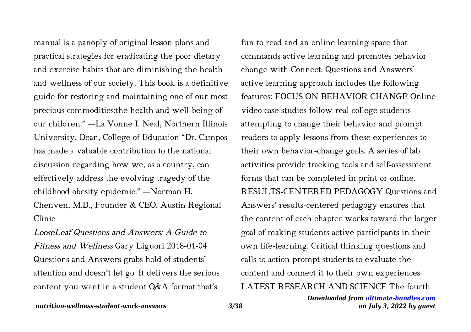manual is a panoply of original lesson plans and practical strategies for eradicating the poor dietary and exercise habits that are diminishing the health and wellness of our society. This book is a definitive guide for restoring and maintaining one of our most precious commodities:the health and well-being of our children." —La Vonne I. Neal, Northern Illinois University, Dean, College of Education "Dr. Campos has made a valuable contribution to the national discussion regarding how we, as a country, can effectively address the evolving tragedy of the childhood obesity epidemic." —Norman H. Chenven, M.D., Founder & CEO, Austin Regional Clinic

LooseLeaf Questions and Answers: A Guide to Fitness and Wellness Gary Liguori 2018-01-04 Questions and Answers grabs hold of students' attention and doesn't let go. It delivers the serious content you want in a student Q&A format that's

fun to read and an online learning space that commands active learning and promotes behavior change with Connect. Questions and Answers' active learning approach includes the following features: FOCUS ON BEHAVIOR CHANGE Online video case studies follow real college students attempting to change their behavior and prompt readers to apply lessons from these experiences to their own behavior-change goals. A series of lab activities provide tracking tools and self-assessment forms that can be completed in print or online. RESULTS-CENTERED PEDAGOGY Questions and Answers' results-centered pedagogy ensures that the content of each chapter works toward the larger goal of making students active participants in their own life-learning. Critical thinking questions and calls to action prompt students to evaluate the content and connect it to their own experiences. LATEST RESEARCH AND SCIENCE The fourth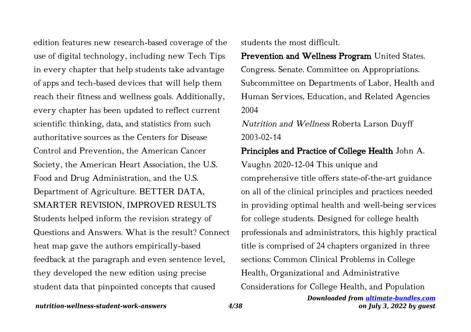edition features new research-based coverage of the use of digital technology, including new Tech Tips in every chapter that help students take advantage of apps and tech-based devices that will help them reach their fitness and wellness goals. Additionally, every chapter has been updated to reflect current scientific thinking, data, and statistics from such authoritative sources as the Centers for Disease Control and Prevention, the American Cancer Society, the American Heart Association, the U.S. Food and Drug Administration, and the U.S. Department of Agriculture. BETTER DATA, SMARTER REVISION, IMPROVED RESULTS Students helped inform the revision strategy of Questions and Answers. What is the result? Connect heat map gave the authors empirically-based feedback at the paragraph and even sentence level, they developed the new edition using precise student data that pinpointed concepts that caused

students the most difficult.

Prevention and Wellness Program United States. Congress. Senate. Committee on Appropriations. Subcommittee on Departments of Labor, Health and Human Services, Education, and Related Agencies 2004

Nutrition and Wellness Roberta Larson Duyff 2003-02-14

Principles and Practice of College Health John A. Vaughn 2020-12-04 This unique and comprehensive title offers state-of-the-art guidance on all of the clinical principles and practices needed in providing optimal health and well-being services for college students. Designed for college health professionals and administrators, this highly practical title is comprised of 24 chapters organized in three sections: Common Clinical Problems in College Health, Organizational and Administrative Considerations for College Health, and Population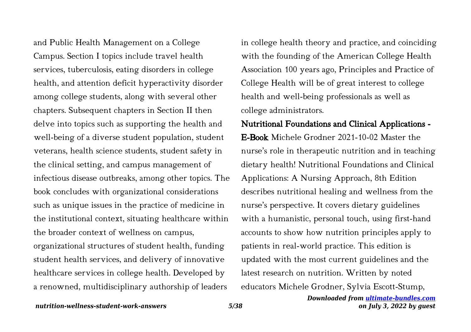and Public Health Management on a College Campus. Section I topics include travel health services, tuberculosis, eating disorders in college health, and attention deficit hyperactivity disorder among college students, along with several other chapters. Subsequent chapters in Section II then delve into topics such as supporting the health and well-being of a diverse student population, student veterans, health science students, student safety in the clinical setting, and campus management of infectious disease outbreaks, among other topics. The book concludes with organizational considerations such as unique issues in the practice of medicine in the institutional context, situating healthcare within the broader context of wellness on campus, organizational structures of student health, funding student health services, and delivery of innovative healthcare services in college health. Developed by a renowned, multidisciplinary authorship of leaders

in college health theory and practice, and coinciding with the founding of the American College Health Association 100 years ago, Principles and Practice of College Health will be of great interest to college health and well-being professionals as well as college administrators.

# Nutritional Foundations and Clinical Applications -

E-Book Michele Grodner 2021-10-02 Master the nurse's role in therapeutic nutrition and in teaching dietary health! Nutritional Foundations and Clinical Applications: A Nursing Approach, 8th Edition describes nutritional healing and wellness from the nurse's perspective. It covers dietary guidelines with a humanistic, personal touch, using first-hand accounts to show how nutrition principles apply to patients in real-world practice. This edition is updated with the most current guidelines and the latest research on nutrition. Written by noted educators Michele Grodner, Sylvia Escott-Stump,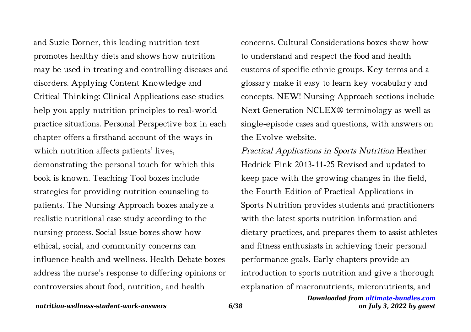and Suzie Dorner, this leading nutrition text promotes healthy diets and shows how nutrition may be used in treating and controlling diseases and disorders. Applying Content Knowledge and Critical Thinking: Clinical Applications case studies help you apply nutrition principles to real-world practice situations. Personal Perspective box in each chapter offers a firsthand account of the ways in which nutrition affects patients' lives, demonstrating the personal touch for which this book is known. Teaching Tool boxes include strategies for providing nutrition counseling to patients. The Nursing Approach boxes analyze a realistic nutritional case study according to the nursing process. Social Issue boxes show how ethical, social, and community concerns can influence health and wellness. Health Debate boxes address the nurse's response to differing opinions or controversies about food, nutrition, and health

concerns. Cultural Considerations boxes show how to understand and respect the food and health customs of specific ethnic groups. Key terms and a glossary make it easy to learn key vocabulary and concepts. NEW! Nursing Approach sections include Next Generation NCLEX® terminology as well as single-episode cases and questions, with answers on the Evolve website.

Practical Applications in Sports Nutrition Heather Hedrick Fink 2013-11-25 Revised and updated to keep pace with the growing changes in the field, the Fourth Edition of Practical Applications in Sports Nutrition provides students and practitioners with the latest sports nutrition information and dietary practices, and prepares them to assist athletes and fitness enthusiasts in achieving their personal performance goals. Early chapters provide an introduction to sports nutrition and give a thorough explanation of macronutrients, micronutrients, and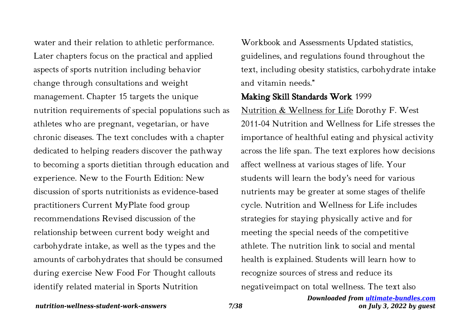water and their relation to athletic performance. Later chapters focus on the practical and applied aspects of sports nutrition including behavior change through consultations and weight management. Chapter 15 targets the unique nutrition requirements of special populations such as athletes who are pregnant, vegetarian, or have chronic diseases. The text concludes with a chapter dedicated to helping readers discover the pathway to becoming a sports dietitian through education and experience. New to the Fourth Edition: New discussion of sports nutritionists as evidence-based practitioners Current MyPlate food group recommendations Revised discussion of the relationship between current body weight and carbohydrate intake, as well as the types and the amounts of carbohydrates that should be consumed during exercise New Food For Thought callouts identify related material in Sports Nutrition

Workbook and Assessments Updated statistics, guidelines, and regulations found throughout the text, including obesity statistics, carbohydrate intake and vitamin needs."

### Making Skill Standards Work 1999

Nutrition & Wellness for Life Dorothy F. West 2011-04 Nutrition and Wellness for Life stresses the importance of healthful eating and physical activity across the life span. The text explores how decisions affect wellness at various stages of life. Your students will learn the body's need for various nutrients may be greater at some stages of thelife cycle. Nutrition and Wellness for Life includes strategies for staying physically active and for meeting the special needs of the competitive athlete. The nutrition link to social and mental health is explained. Students will learn how to recognize sources of stress and reduce its negativeimpact on total wellness. The text also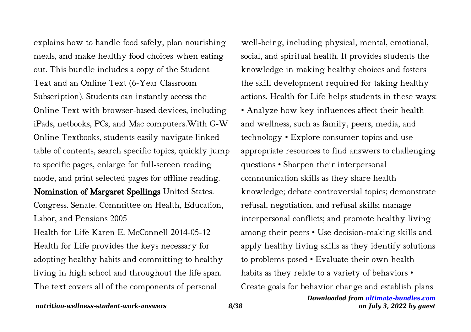explains how to handle food safely, plan nourishing meals, and make healthy food choices when eating out. This bundle includes a copy of the Student Text and an Online Text (6-Year Classroom Subscription). Students can instantly access the Online Text with browser-based devices, including iPads, netbooks, PCs, and Mac computers.With G-W Online Textbooks, students easily navigate linked table of contents, search specific topics, quickly jump to specific pages, enlarge for full-screen reading mode, and print selected pages for offline reading. Nomination of Margaret Spellings United States. Congress. Senate. Committee on Health, Education, Labor, and Pensions 2005 Health for Life Karen E. McConnell 2014-05-12

Health for Life provides the keys necessary for adopting healthy habits and committing to healthy living in high school and throughout the life span. The text covers all of the components of personal

well-being, including physical, mental, emotional, social, and spiritual health. It provides students the knowledge in making healthy choices and fosters the skill development required for taking healthy actions. Health for Life helps students in these ways: • Analyze how key influences affect their health and wellness, such as family, peers, media, and technology • Explore consumer topics and use appropriate resources to find answers to challenging questions • Sharpen their interpersonal communication skills as they share health knowledge; debate controversial topics; demonstrate refusal, negotiation, and refusal skills; manage interpersonal conflicts; and promote healthy living among their peers • Use decision-making skills and apply healthy living skills as they identify solutions to problems posed • Evaluate their own health habits as they relate to a variety of behaviors • Create goals for behavior change and establish plans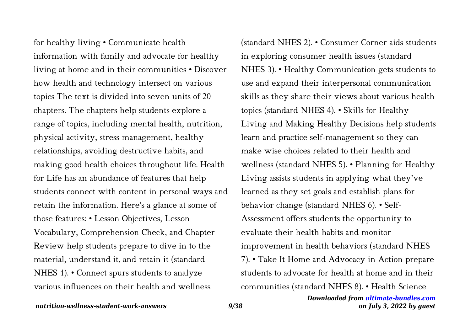for healthy living • Communicate health information with family and advocate for healthy living at home and in their communities • Discover how health and technology intersect on various topics The text is divided into seven units of 20 chapters. The chapters help students explore a range of topics, including mental health, nutrition, physical activity, stress management, healthy relationships, avoiding destructive habits, and making good health choices throughout life. Health for Life has an abundance of features that help students connect with content in personal ways and retain the information. Here's a glance at some of those features: • Lesson Objectives, Lesson Vocabulary, Comprehension Check, and Chapter Review help students prepare to dive in to the material, understand it, and retain it (standard NHES 1). • Connect spurs students to analyze various influences on their health and wellness

(standard NHES 2). • Consumer Corner aids students in exploring consumer health issues (standard NHES 3). • Healthy Communication gets students to use and expand their interpersonal communication skills as they share their views about various health topics (standard NHES 4). • Skills for Healthy Living and Making Healthy Decisions help students learn and practice self-management so they can make wise choices related to their health and wellness (standard NHES 5). • Planning for Healthy Living assists students in applying what they've learned as they set goals and establish plans for behavior change (standard NHES 6). • Self-Assessment offers students the opportunity to evaluate their health habits and monitor improvement in health behaviors (standard NHES 7). • Take It Home and Advocacy in Action prepare students to advocate for health at home and in their communities (standard NHES 8). • Health Science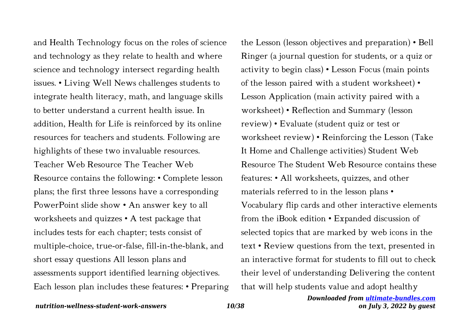and Health Technology focus on the roles of science and technology as they relate to health and where science and technology intersect regarding health issues. • Living Well News challenges students to integrate health literacy, math, and language skills to better understand a current health issue. In addition, Health for Life is reinforced by its online resources for teachers and students. Following are highlights of these two invaluable resources. Teacher Web Resource The Teacher Web Resource contains the following: • Complete lesson plans; the first three lessons have a corresponding PowerPoint slide show • An answer key to all worksheets and quizzes • A test package that includes tests for each chapter; tests consist of multiple-choice, true-or-false, fill-in-the-blank, and short essay questions All lesson plans and assessments support identified learning objectives. Each lesson plan includes these features: • Preparing the Lesson (lesson objectives and preparation) • Bell Ringer (a journal question for students, or a quiz or activity to begin class) • Lesson Focus (main points of the lesson paired with a student worksheet) • Lesson Application (main activity paired with a worksheet) • Reflection and Summary (lesson review) • Evaluate (student quiz or test or worksheet review) • Reinforcing the Lesson (Take It Home and Challenge activities) Student Web Resource The Student Web Resource contains these features: • All worksheets, quizzes, and other materials referred to in the lesson plans • Vocabulary flip cards and other interactive elements from the iBook edition • Expanded discussion of selected topics that are marked by web icons in the text • Review questions from the text, presented in an interactive format for students to fill out to check their level of understanding Delivering the content that will help students value and adopt healthy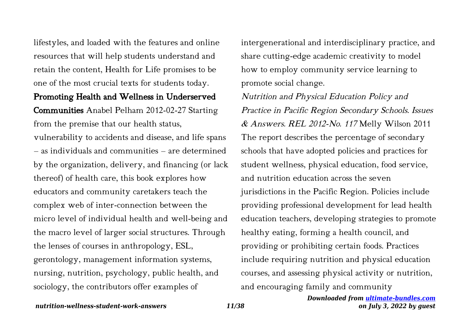lifestyles, and loaded with the features and online resources that will help students understand and retain the content, Health for Life promises to be one of the most crucial texts for students today.

### Promoting Health and Wellness in Underserved

Communities Anabel Pelham 2012-02-27 Starting from the premise that our health status,

vulnerability to accidents and disease, and life spans – as individuals and communities – are determined by the organization, delivery, and financing (or lack thereof) of health care, this book explores how educators and community caretakers teach the complex web of inter-connection between the micro level of individual health and well-being and the macro level of larger social structures. Through the lenses of courses in anthropology, ESL, gerontology, management information systems, nursing, nutrition, psychology, public health, and sociology, the contributors offer examples of

intergenerational and interdisciplinary practice, and share cutting-edge academic creativity to model how to employ community service learning to promote social change.

Nutrition and Physical Education Policy and Practice in Pacific Region Secondary Schools. Issues & Answers. REL 2012-No. 117 Melly Wilson 2011 The report describes the percentage of secondary schools that have adopted policies and practices for student wellness, physical education, food service, and nutrition education across the seven jurisdictions in the Pacific Region. Policies include providing professional development for lead health education teachers, developing strategies to promote healthy eating, forming a health council, and providing or prohibiting certain foods. Practices include requiring nutrition and physical education courses, and assessing physical activity or nutrition, and encouraging family and community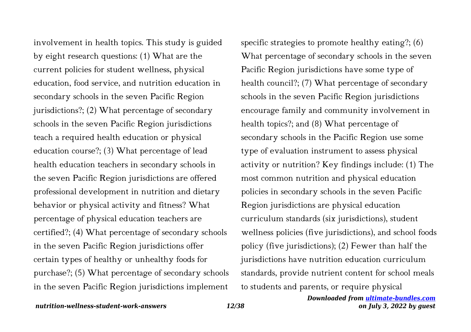involvement in health topics. This study is guided by eight research questions: (1) What are the current policies for student wellness, physical education, food service, and nutrition education in secondary schools in the seven Pacific Region jurisdictions?; (2) What percentage of secondary schools in the seven Pacific Region jurisdictions teach a required health education or physical education course?; (3) What percentage of lead health education teachers in secondary schools in the seven Pacific Region jurisdictions are offered professional development in nutrition and dietary behavior or physical activity and fitness? What percentage of physical education teachers are certified?; (4) What percentage of secondary schools in the seven Pacific Region jurisdictions offer certain types of healthy or unhealthy foods for purchase?; (5) What percentage of secondary schools in the seven Pacific Region jurisdictions implement

specific strategies to promote healthy eating?; (6) What percentage of secondary schools in the seven Pacific Region jurisdictions have some type of health council?; (7) What percentage of secondary schools in the seven Pacific Region jurisdictions encourage family and community involvement in health topics?; and (8) What percentage of secondary schools in the Pacific Region use some type of evaluation instrument to assess physical activity or nutrition? Key findings include: (1) The most common nutrition and physical education policies in secondary schools in the seven Pacific Region jurisdictions are physical education curriculum standards (six jurisdictions), student wellness policies (five jurisdictions), and school foods policy (five jurisdictions); (2) Fewer than half the jurisdictions have nutrition education curriculum standards, provide nutrient content for school meals to students and parents, or require physical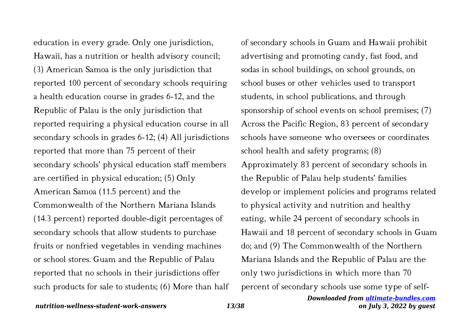education in every grade. Only one jurisdiction, Hawaii, has a nutrition or health advisory council; (3) American Samoa is the only jurisdiction that reported 100 percent of secondary schools requiring a health education course in grades 6-12, and the Republic of Palau is the only jurisdiction that reported requiring a physical education course in all secondary schools in grades 6-12; (4) All jurisdictions reported that more than 75 percent of their secondary schools' physical education staff members are certified in physical education; (5) Only American Samoa (11.5 percent) and the Commonwealth of the Northern Mariana Islands (14.3 percent) reported double-digit percentages of secondary schools that allow students to purchase fruits or nonfried vegetables in vending machines or school stores. Guam and the Republic of Palau reported that no schools in their jurisdictions offer such products for sale to students; (6) More than half

of secondary schools in Guam and Hawaii prohibit advertising and promoting candy, fast food, and sodas in school buildings, on school grounds, on school buses or other vehicles used to transport students, in school publications, and through sponsorship of school events on school premises; (7) Across the Pacific Region, 83 percent of secondary schools have someone who oversees or coordinates school health and safety programs; (8) Approximately 83 percent of secondary schools in the Republic of Palau help students' families develop or implement policies and programs related to physical activity and nutrition and healthy eating, while 24 percent of secondary schools in Hawaii and 18 percent of secondary schools in Guam do; and (9) The Commonwealth of the Northern Mariana Islands and the Republic of Palau are the only two jurisdictions in which more than 70 percent of secondary schools use some type of self-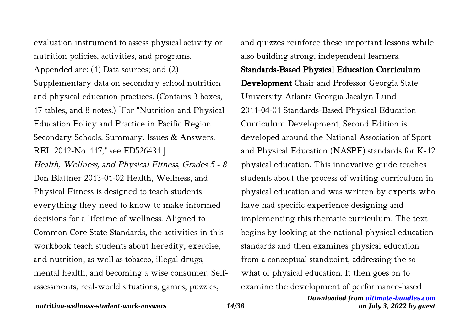evaluation instrument to assess physical activity or nutrition policies, activities, and programs.

Appended are: (1) Data sources; and (2) Supplementary data on secondary school nutrition and physical education practices. (Contains 3 boxes, 17 tables, and 8 notes.) [For "Nutrition and Physical Education Policy and Practice in Pacific Region Secondary Schools. Summary. Issues & Answers. REL 2012-No. 117," see ED526431.].

Health, Wellness, and Physical Fitness, Grades 5 - 8 Don Blattner 2013-01-02 Health, Wellness, and Physical Fitness is designed to teach students everything they need to know to make informed decisions for a lifetime of wellness. Aligned to Common Core State Standards, the activities in this workbook teach students about heredity, exercise, and nutrition, as well as tobacco, illegal drugs, mental health, and becoming a wise consumer. Selfassessments, real-world situations, games, puzzles,

and quizzes reinforce these important lessons while also building strong, independent learners.

### Standards-Based Physical Education Curriculum

Development Chair and Professor Georgia State University Atlanta Georgia Jacalyn Lund 2011-04-01 Standards-Based Physical Education Curriculum Development, Second Edition is developed around the National Association of Sport and Physical Education (NASPE) standards for K-12 physical education. This innovative guide teaches students about the process of writing curriculum in physical education and was written by experts who have had specific experience designing and implementing this thematic curriculum. The text begins by looking at the national physical education standards and then examines physical education from a conceptual standpoint, addressing the so what of physical education. It then goes on to examine the development of performance-based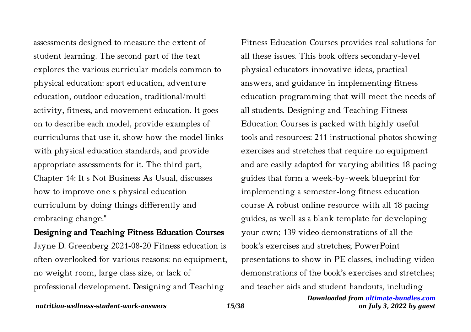assessments designed to measure the extent of student learning. The second part of the text explores the various curricular models common to physical education: sport education, adventure education, outdoor education, traditional/multi activity, fitness, and movement education. It goes on to describe each model, provide examples of curriculums that use it, show how the model links with physical education standards, and provide appropriate assessments for it. The third part, Chapter 14: It s Not Business As Usual, discusses how to improve one s physical education curriculum by doing things differently and embracing change."

# Designing and Teaching Fitness Education Courses

Jayne D. Greenberg 2021-08-20 Fitness education is often overlooked for various reasons: no equipment, no weight room, large class size, or lack of professional development. Designing and Teaching

Fitness Education Courses provides real solutions for all these issues. This book offers secondary-level physical educators innovative ideas, practical answers, and guidance in implementing fitness education programming that will meet the needs of all students. Designing and Teaching Fitness Education Courses is packed with highly useful tools and resources: 211 instructional photos showing exercises and stretches that require no equipment and are easily adapted for varying abilities 18 pacing guides that form a week-by-week blueprint for implementing a semester-long fitness education course A robust online resource with all 18 pacing guides, as well as a blank template for developing your own; 139 video demonstrations of all the book's exercises and stretches; PowerPoint presentations to show in PE classes, including video demonstrations of the book's exercises and stretches; and teacher aids and student handouts, including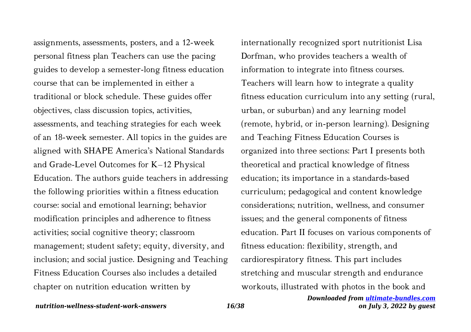assignments, assessments, posters, and a 12-week personal fitness plan Teachers can use the pacing guides to develop a semester-long fitness education course that can be implemented in either a traditional or block schedule. These guides offer objectives, class discussion topics, activities, assessments, and teaching strategies for each week of an 18-week semester. All topics in the guides are aligned with SHAPE America's National Standards and Grade-Level Outcomes for K–12 Physical Education. The authors guide teachers in addressing the following priorities within a fitness education course: social and emotional learning; behavior modification principles and adherence to fitness activities; social cognitive theory; classroom management; student safety; equity, diversity, and inclusion; and social justice. Designing and Teaching Fitness Education Courses also includes a detailed chapter on nutrition education written by

internationally recognized sport nutritionist Lisa Dorfman, who provides teachers a wealth of information to integrate into fitness courses. Teachers will learn how to integrate a quality fitness education curriculum into any setting (rural, urban, or suburban) and any learning model (remote, hybrid, or in-person learning). Designing and Teaching Fitness Education Courses is organized into three sections: Part I presents both theoretical and practical knowledge of fitness education; its importance in a standards-based curriculum; pedagogical and content knowledge considerations; nutrition, wellness, and consumer issues; and the general components of fitness education. Part II focuses on various components of fitness education: flexibility, strength, and cardiorespiratory fitness. This part includes stretching and muscular strength and endurance workouts, illustrated with photos in the book and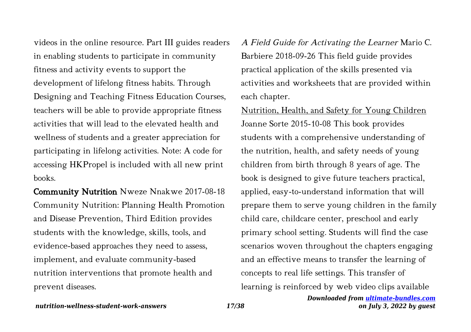videos in the online resource. Part III guides readers in enabling students to participate in community fitness and activity events to support the development of lifelong fitness habits. Through Designing and Teaching Fitness Education Courses, teachers will be able to provide appropriate fitness activities that will lead to the elevated health and wellness of students and a greater appreciation for participating in lifelong activities. Note: A code for accessing HKPropel is included with all new print books.

Community Nutrition Nweze Nnakwe 2017-08-18 Community Nutrition: Planning Health Promotion and Disease Prevention, Third Edition provides students with the knowledge, skills, tools, and evidence-based approaches they need to assess, implement, and evaluate community-based nutrition interventions that promote health and prevent diseases.

A Field Guide for Activating the Learner Mario C. Barbiere 2018-09-26 This field guide provides practical application of the skills presented via activities and worksheets that are provided within each chapter.

Nutrition, Health, and Safety for Young Children Joanne Sorte 2015-10-08 This book provides students with a comprehensive understanding of the nutrition, health, and safety needs of young children from birth through 8 years of age. The book is designed to give future teachers practical, applied, easy-to-understand information that will prepare them to serve young children in the family child care, childcare center, preschool and early primary school setting. Students will find the case scenarios woven throughout the chapters engaging and an effective means to transfer the learning of concepts to real life settings. This transfer of learning is reinforced by web video clips available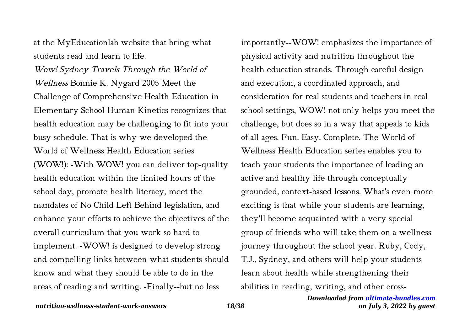at the MyEducationlab website that bring what students read and learn to life.

Wow! Sydney Travels Through the World of Wellness Bonnie K. Nygard 2005 Meet the Challenge of Comprehensive Health Education in Elementary School Human Kinetics recognizes that health education may be challenging to fit into your busy schedule. That is why we developed the World of Wellness Health Education series (WOW!): -With WOW! you can deliver top-quality health education within the limited hours of the school day, promote health literacy, meet the mandates of No Child Left Behind legislation, and enhance your efforts to achieve the objectives of the overall curriculum that you work so hard to implement. -WOW! is designed to develop strong and compelling links between what students should know and what they should be able to do in the areas of reading and writing. -Finally--but no less

importantly--WOW! emphasizes the importance of physical activity and nutrition throughout the health education strands. Through careful design and execution, a coordinated approach, and consideration for real students and teachers in real school settings, WOW! not only helps you meet the challenge, but does so in a way that appeals to kids of all ages. Fun. Easy. Complete. The World of Wellness Health Education series enables you to teach your students the importance of leading an active and healthy life through conceptually grounded, context-based lessons. What's even more exciting is that while your students are learning, they'll become acquainted with a very special group of friends who will take them on a wellness journey throughout the school year. Ruby, Cody, T.J., Sydney, and others will help your students learn about health while strengthening their abilities in reading, writing, and other cross-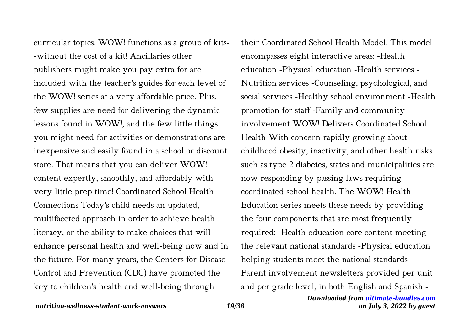curricular topics. WOW! functions as a group of kits- -without the cost of a kit! Ancillaries other publishers might make you pay extra for are included with the teacher's guides for each level of the WOW! series at a very affordable price. Plus, few supplies are need for delivering the dynamic lessons found in WOW!, and the few little things you might need for activities or demonstrations are inexpensive and easily found in a school or discount store. That means that you can deliver WOW! content expertly, smoothly, and affordably with very little prep time! Coordinated School Health Connections Today's child needs an updated, multifaceted approach in order to achieve health literacy, or the ability to make choices that will enhance personal health and well-being now and in the future. For many years, the Centers for Disease Control and Prevention (CDC) have promoted the key to children's health and well-being through

their Coordinated School Health Model. This model encompasses eight interactive areas: -Health education -Physical education -Health services - Nutrition services -Counseling, psychological, and social services -Healthy school environment -Health promotion for staff -Family and community involvement WOW! Delivers Coordinated School Health With concern rapidly growing about childhood obesity, inactivity, and other health risks such as type 2 diabetes, states and municipalities are now responding by passing laws requiring coordinated school health. The WOW! Health Education series meets these needs by providing the four components that are most frequently required: -Health education core content meeting the relevant national standards -Physical education helping students meet the national standards - Parent involvement newsletters provided per unit

and per grade level, in both English and Spanish -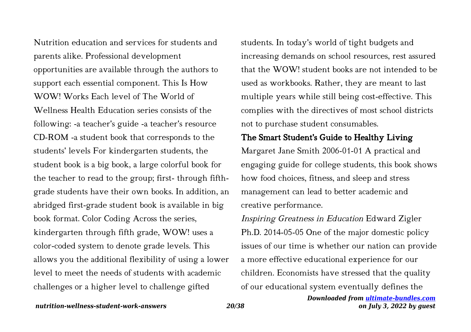Nutrition education and services for students and parents alike. Professional development opportunities are available through the authors to support each essential component. This Is How WOW! Works Each level of The World of Wellness Health Education series consists of the following: -a teacher's guide -a teacher's resource CD-ROM -a student book that corresponds to the students' levels For kindergarten students, the student book is a big book, a large colorful book for the teacher to read to the group; first- through fifthgrade students have their own books. In addition, an abridged first-grade student book is available in big book format. Color Coding Across the series, kindergarten through fifth grade, WOW! uses a color-coded system to denote grade levels. This allows you the additional flexibility of using a lower level to meet the needs of students with academic challenges or a higher level to challenge gifted

students. In today's world of tight budgets and increasing demands on school resources, rest assured that the WOW! student books are not intended to be used as workbooks. Rather, they are meant to last multiple years while still being cost-effective. This complies with the directives of most school districts not to purchase student consumables.

# The Smart Student's Guide to Healthy Living

Margaret Jane Smith 2006-01-01 A practical and engaging guide for college students, this book shows how food choices, fitness, and sleep and stress management can lead to better academic and creative performance.

# Inspiring Greatness in Education Edward Zigler Ph.D. 2014-05-05 One of the major domestic policy issues of our time is whether our nation can provide a more effective educational experience for our children. Economists have stressed that the quality of our educational system eventually defines the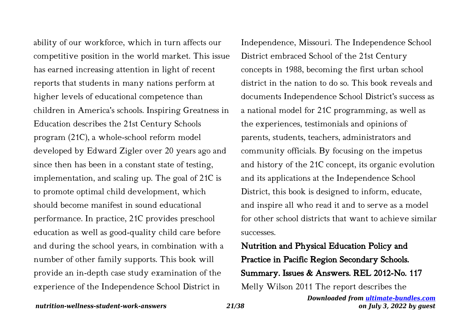ability of our workforce, which in turn affects our competitive position in the world market. This issue has earned increasing attention in light of recent reports that students in many nations perform at higher levels of educational competence than children in America's schools. Inspiring Greatness in Education describes the 21st Century Schools program (21C), a whole-school reform model developed by Edward Zigler over 20 years ago and since then has been in a constant state of testing, implementation, and scaling up. The goal of 21C is to promote optimal child development, which should become manifest in sound educational performance. In practice, 21C provides preschool education as well as good-quality child care before and during the school years, in combination with a number of other family supports. This book will provide an in-depth case study examination of the experience of the Independence School District in

Independence, Missouri. The Independence School District embraced School of the 21st Century concepts in 1988, becoming the first urban school district in the nation to do so. This book reveals and documents Independence School District's success as a national model for 21C programming, as well as the experiences, testimonials and opinions of parents, students, teachers, administrators and community officials. By focusing on the impetus and history of the 21C concept, its organic evolution and its applications at the Independence School District, this book is designed to inform, educate, and inspire all who read it and to serve as a model for other school districts that want to achieve similar successes.

# Nutrition and Physical Education Policy and Practice in Pacific Region Secondary Schools. Summary. Issues & Answers. REL 2012-No. 117 Melly Wilson 2011 The report describes the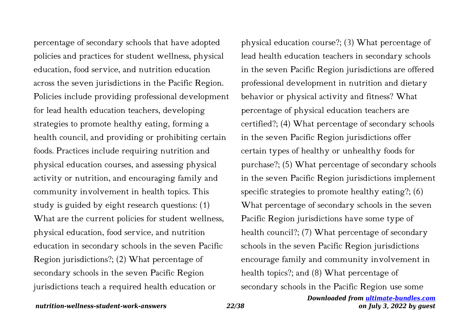percentage of secondary schools that have adopted policies and practices for student wellness, physical education, food service, and nutrition education across the seven jurisdictions in the Pacific Region. Policies include providing professional development for lead health education teachers, developing strategies to promote healthy eating, forming a health council, and providing or prohibiting certain foods. Practices include requiring nutrition and physical education courses, and assessing physical activity or nutrition, and encouraging family and community involvement in health topics. This study is guided by eight research questions: (1) What are the current policies for student wellness, physical education, food service, and nutrition education in secondary schools in the seven Pacific Region jurisdictions?; (2) What percentage of secondary schools in the seven Pacific Region jurisdictions teach a required health education or

physical education course?; (3) What percentage of lead health education teachers in secondary schools in the seven Pacific Region jurisdictions are offered professional development in nutrition and dietary behavior or physical activity and fitness? What percentage of physical education teachers are certified?; (4) What percentage of secondary schools in the seven Pacific Region jurisdictions offer certain types of healthy or unhealthy foods for purchase?; (5) What percentage of secondary schools in the seven Pacific Region jurisdictions implement specific strategies to promote healthy eating?; (6) What percentage of secondary schools in the seven Pacific Region jurisdictions have some type of health council?; (7) What percentage of secondary schools in the seven Pacific Region jurisdictions encourage family and community involvement in health topics?; and (8) What percentage of secondary schools in the Pacific Region use some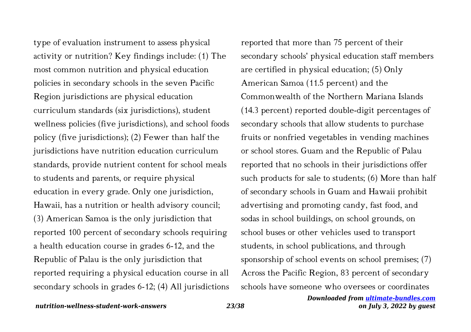type of evaluation instrument to assess physical activity or nutrition? Key findings include: (1) The most common nutrition and physical education policies in secondary schools in the seven Pacific Region jurisdictions are physical education curriculum standards (six jurisdictions), student wellness policies (five jurisdictions), and school foods policy (five jurisdictions); (2) Fewer than half the jurisdictions have nutrition education curriculum standards, provide nutrient content for school meals to students and parents, or require physical education in every grade. Only one jurisdiction, Hawaii, has a nutrition or health advisory council; (3) American Samoa is the only jurisdiction that reported 100 percent of secondary schools requiring a health education course in grades 6-12, and the Republic of Palau is the only jurisdiction that reported requiring a physical education course in all secondary schools in grades 6-12; (4) All jurisdictions

reported that more than 75 percent of their secondary schools' physical education staff members are certified in physical education; (5) Only American Samoa (11.5 percent) and the Commonwealth of the Northern Mariana Islands (14.3 percent) reported double-digit percentages of secondary schools that allow students to purchase fruits or nonfried vegetables in vending machines or school stores. Guam and the Republic of Palau reported that no schools in their jurisdictions offer such products for sale to students; (6) More than half of secondary schools in Guam and Hawaii prohibit advertising and promoting candy, fast food, and sodas in school buildings, on school grounds, on school buses or other vehicles used to transport students, in school publications, and through sponsorship of school events on school premises; (7) Across the Pacific Region, 83 percent of secondary schools have someone who oversees or coordinates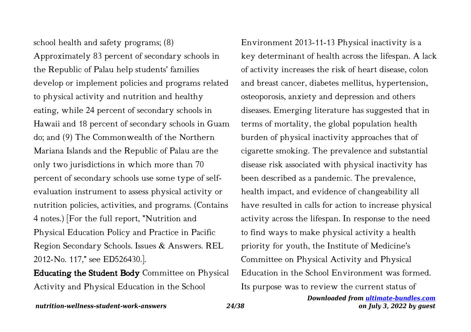school health and safety programs; (8) Approximately 83 percent of secondary schools in the Republic of Palau help students' families develop or implement policies and programs related to physical activity and nutrition and healthy eating, while 24 percent of secondary schools in Hawaii and 18 percent of secondary schools in Guam do; and (9) The Commonwealth of the Northern Mariana Islands and the Republic of Palau are the only two jurisdictions in which more than 70 percent of secondary schools use some type of selfevaluation instrument to assess physical activity or nutrition policies, activities, and programs. (Contains 4 notes.) [For the full report, "Nutrition and Physical Education Policy and Practice in Pacific Region Secondary Schools. Issues & Answers. REL 2012-No. 117," see ED526430.].

Educating the Student Body Committee on Physical Activity and Physical Education in the School

Environment 2013-11-13 Physical inactivity is a key determinant of health across the lifespan. A lack of activity increases the risk of heart disease, colon and breast cancer, diabetes mellitus, hypertension, osteoporosis, anxiety and depression and others diseases. Emerging literature has suggested that in terms of mortality, the global population health burden of physical inactivity approaches that of cigarette smoking. The prevalence and substantial disease risk associated with physical inactivity has been described as a pandemic. The prevalence, health impact, and evidence of changeability all have resulted in calls for action to increase physical activity across the lifespan. In response to the need to find ways to make physical activity a health priority for youth, the Institute of Medicine's Committee on Physical Activity and Physical Education in the School Environment was formed. Its purpose was to review the current status of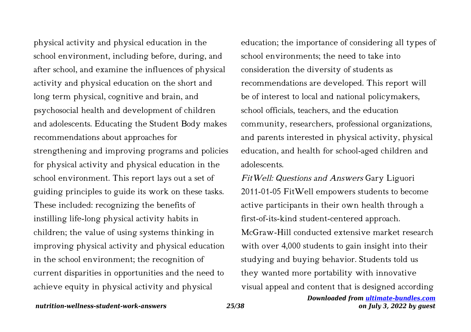physical activity and physical education in the school environment, including before, during, and after school, and examine the influences of physical activity and physical education on the short and long term physical, cognitive and brain, and psychosocial health and development of children and adolescents. Educating the Student Body makes recommendations about approaches for strengthening and improving programs and policies for physical activity and physical education in the school environment. This report lays out a set of guiding principles to guide its work on these tasks. These included: recognizing the benefits of instilling life-long physical activity habits in children; the value of using systems thinking in improving physical activity and physical education in the school environment; the recognition of current disparities in opportunities and the need to achieve equity in physical activity and physical

education; the importance of considering all types of school environments; the need to take into consideration the diversity of students as recommendations are developed. This report will be of interest to local and national policymakers, school officials, teachers, and the education community, researchers, professional organizations, and parents interested in physical activity, physical education, and health for school-aged children and adolescents.

FitWell: Questions and Answers Gary Liguori 2011-01-05 FitWell empowers students to become active participants in their own health through a first-of-its-kind student-centered approach. McGraw-Hill conducted extensive market research with over 4,000 students to gain insight into their studying and buying behavior. Students told us they wanted more portability with innovative visual appeal and content that is designed according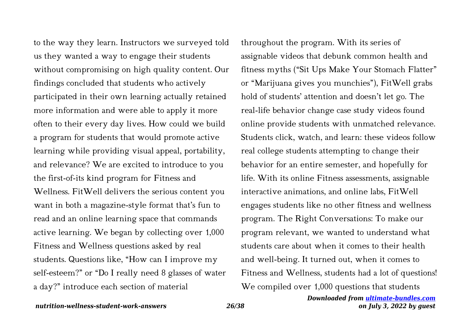to the way they learn. Instructors we surveyed told us they wanted a way to engage their students without compromising on high quality content. Our findings concluded that students who actively participated in their own learning actually retained more information and were able to apply it more often to their every day lives. How could we build a program for students that would promote active learning while providing visual appeal, portability, and relevance? We are excited to introduce to you the first-of-its kind program for Fitness and Wellness. FitWell delivers the serious content you want in both a magazine-style format that's fun to read and an online learning space that commands active learning. We began by collecting over 1,000 Fitness and Wellness questions asked by real students. Questions like, "How can I improve my self-esteem?" or "Do I really need 8 glasses of water a day?" introduce each section of material

throughout the program. With its series of assignable videos that debunk common health and fitness myths ("Sit Ups Make Your Stomach Flatter" or "Marijuana gives you munchies"), FitWell grabs hold of students' attention and doesn't let go. The real-life behavior change case study videos found online provide students with unmatched relevance. Students click, watch, and learn: these videos follow real college students attempting to change their behavior for an entire semester, and hopefully for life. With its online Fitness assessments, assignable interactive animations, and online labs, FitWell engages students like no other fitness and wellness program. The Right Conversations: To make our program relevant, we wanted to understand what students care about when it comes to their health and well-being. It turned out, when it comes to Fitness and Wellness, students had a lot of questions! We compiled over 1,000 questions that students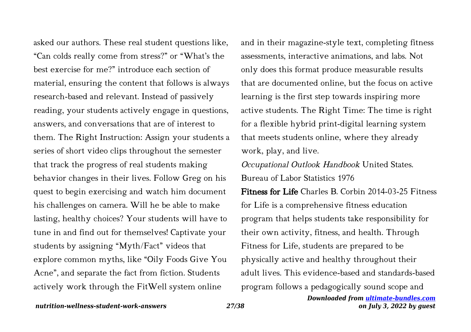asked our authors. These real student questions like, "Can colds really come from stress?" or "What's the best exercise for me?" introduce each section of material, ensuring the content that follows is always research-based and relevant. Instead of passively reading, your students actively engage in questions, answers, and conversations that are of interest to them. The Right Instruction: Assign your students a series of short video clips throughout the semester that track the progress of real students making behavior changes in their lives. Follow Greg on his quest to begin exercising and watch him document his challenges on camera. Will he be able to make lasting, healthy choices? Your students will have to tune in and find out for themselves! Captivate your students by assigning "Myth/Fact" videos that explore common myths, like "Oily Foods Give You Acne", and separate the fact from fiction. Students actively work through the FitWell system online

and in their magazine-style text, completing fitness assessments, interactive animations, and labs. Not only does this format produce measurable results that are documented online, but the focus on active learning is the first step towards inspiring more active students. The Right Time: The time is right for a flexible hybrid print-digital learning system that meets students online, where they already work, play, and live.

Occupational Outlook Handbook United States. Bureau of Labor Statistics 1976

Fitness for Life Charles B. Corbin 2014-03-25 Fitness for Life is a comprehensive fitness education program that helps students take responsibility for their own activity, fitness, and health. Through Fitness for Life, students are prepared to be physically active and healthy throughout their adult lives. This evidence-based and standards-based program follows a pedagogically sound scope and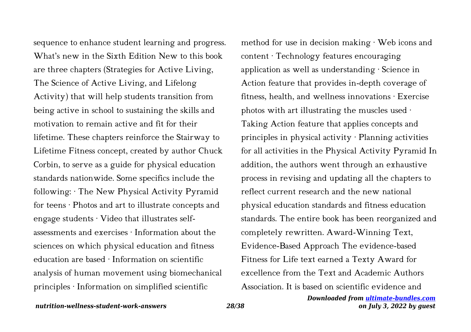sequence to enhance student learning and progress. What's new in the Sixth Edition New to this book are three chapters (Strategies for Active Living, The Science of Active Living, and Lifelong Activity) that will help students transition from being active in school to sustaining the skills and motivation to remain active and fit for their lifetime. These chapters reinforce the Stairway to Lifetime Fitness concept, created by author Chuck Corbin, to serve as a guide for physical education standards nationwide. Some specifics include the following: · The New Physical Activity Pyramid for teens · Photos and art to illustrate concepts and engage students · Video that illustrates selfassessments and exercises · Information about the sciences on which physical education and fitness education are based · Information on scientific analysis of human movement using biomechanical principles · Information on simplified scientific

method for use in decision making · Web icons and content · Technology features encouraging application as well as understanding · Science in Action feature that provides in-depth coverage of fitness, health, and wellness innovations · Exercise photos with art illustrating the muscles used · Taking Action feature that applies concepts and principles in physical activity · Planning activities for all activities in the Physical Activity Pyramid In addition, the authors went through an exhaustive process in revising and updating all the chapters to reflect current research and the new national physical education standards and fitness education standards. The entire book has been reorganized and completely rewritten. Award-Winning Text, Evidence-Based Approach The evidence-based Fitness for Life text earned a Texty Award for excellence from the Text and Academic Authors Association. It is based on scientific evidence and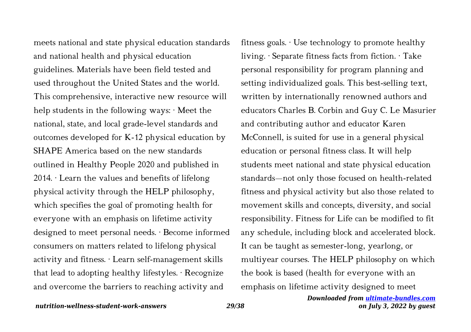meets national and state physical education standards and national health and physical education guidelines. Materials have been field tested and used throughout the United States and the world. This comprehensive, interactive new resource will help students in the following ways:  $\cdot$  Meet the national, state, and local grade-level standards and outcomes developed for K-12 physical education by SHAPE America based on the new standards outlined in Healthy People 2020 and published in 2014. · Learn the values and benefits of lifelong physical activity through the HELP philosophy, which specifies the goal of promoting health for everyone with an emphasis on lifetime activity designed to meet personal needs. · Become informed consumers on matters related to lifelong physical activity and fitness. · Learn self-management skills that lead to adopting healthy lifestyles.  $\cdot$  Recognize and overcome the barriers to reaching activity and

fitness goals. · Use technology to promote healthy living. · Separate fitness facts from fiction. · Take personal responsibility for program planning and setting individualized goals. This best-selling text, written by internationally renowned authors and educators Charles B. Corbin and Guy C. Le Masurier and contributing author and educator Karen McConnell, is suited for use in a general physical education or personal fitness class. It will help students meet national and state physical education standards—not only those focused on health-related fitness and physical activity but also those related to movement skills and concepts, diversity, and social responsibility. Fitness for Life can be modified to fit any schedule, including block and accelerated block. It can be taught as semester-long, yearlong, or multiyear courses. The HELP philosophy on which the book is based (health for everyone with an emphasis on lifetime activity designed to meet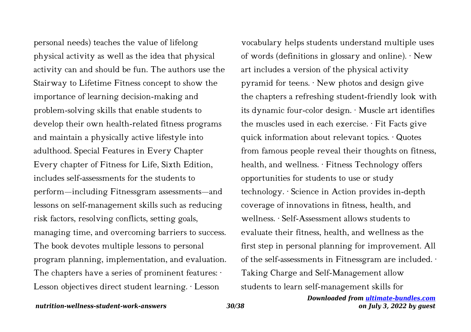personal needs) teaches the value of lifelong physical activity as well as the idea that physical activity can and should be fun. The authors use the Stairway to Lifetime Fitness concept to show the importance of learning decision-making and problem-solving skills that enable students to develop their own health-related fitness programs and maintain a physically active lifestyle into adulthood. Special Features in Every Chapter Every chapter of Fitness for Life, Sixth Edition, includes self-assessments for the students to perform—including Fitnessgram assessments—and lessons on self-management skills such as reducing risk factors, resolving conflicts, setting goals, managing time, and overcoming barriers to success. The book devotes multiple lessons to personal program planning, implementation, and evaluation. The chapters have a series of prominent features:  $\cdot$ Lesson objectives direct student learning. · Lesson

vocabulary helps students understand multiple uses of words (definitions in glossary and online). · New art includes a version of the physical activity pyramid for teens. · New photos and design give the chapters a refreshing student-friendly look with its dynamic four-color design. · Muscle art identifies the muscles used in each exercise. · Fit Facts give quick information about relevant topics. · Quotes from famous people reveal their thoughts on fitness, health, and wellness. · Fitness Technology offers opportunities for students to use or study technology. · Science in Action provides in-depth coverage of innovations in fitness, health, and wellness. · Self-Assessment allows students to evaluate their fitness, health, and wellness as the first step in personal planning for improvement. All of the self-assessments in Fitnessgram are included. · Taking Charge and Self-Management allow students to learn self-management skills for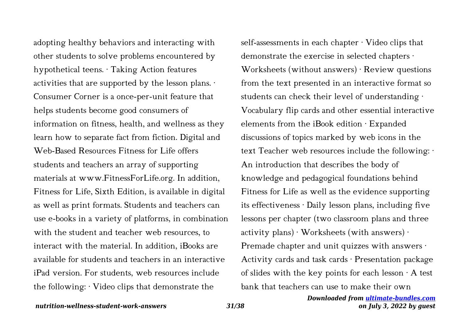adopting healthy behaviors and interacting with other students to solve problems encountered by hypothetical teens. · Taking Action features activities that are supported by the lesson plans. · Consumer Corner is a once-per-unit feature that helps students become good consumers of information on fitness, health, and wellness as they learn how to separate fact from fiction. Digital and Web-Based Resources Fitness for Life offers students and teachers an array of supporting materials at www.FitnessForLife.org. In addition, Fitness for Life, Sixth Edition, is available in digital as well as print formats. Students and teachers can use e-books in a variety of platforms, in combination with the student and teacher web resources, to interact with the material. In addition, iBooks are available for students and teachers in an interactive iPad version. For students, web resources include the following:  $\cdot$  Video clips that demonstrate the

self-assessments in each chapter · Video clips that demonstrate the exercise in selected chapters · Worksheets (without answers) · Review questions from the text presented in an interactive format so students can check their level of understanding · Vocabulary flip cards and other essential interactive elements from the iBook edition · Expanded discussions of topics marked by web icons in the text Teacher web resources include the following: · An introduction that describes the body of knowledge and pedagogical foundations behind Fitness for Life as well as the evidence supporting its effectiveness · Daily lesson plans, including five lessons per chapter (two classroom plans and three activity plans)  $\cdot$  Worksheets (with answers)  $\cdot$ Premade chapter and unit quizzes with answers · Activity cards and task cards · Presentation package of slides with the key points for each lesson  $\cdot$  A test bank that teachers can use to make their own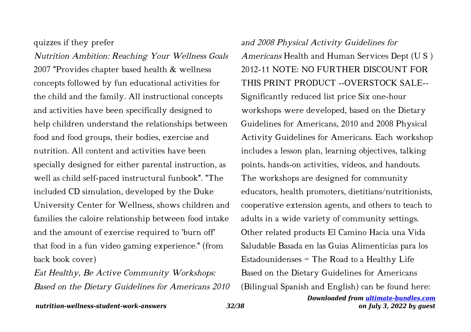quizzes if they prefer

Nutrition Ambition: Reaching Your Wellness Goals 2007 "Provides chapter based health & wellness concepts followed by fun educational activities for the child and the family. All instructional concepts and activities have been specifically designed to help children understand the relationships between food and food groups, their bodies, exercise and nutrition. All content and activities have been specially designed for either parental instruction, as well as child self-paced instructural funbook". "The included CD simulation, developed by the Duke University Center for Wellness, shows children and families the caloire relationship between food intake and the amount of exercise required to 'burn off' that food in a fun video gaming experience." (from back book cover)

Eat Healthy, Be Active Community Workshops: Based on the Dietary Guidelines for Americans 2010

and 2008 Physical Activity Guidelines for Americans Health and Human Services Dept (U S ) 2012-11 NOTE: NO FURTHER DISCOUNT FOR THIS PRINT PRODUCT --OVERSTOCK SALE-- Significantly reduced list price Six one-hour workshops were developed, based on the Dietary Guidelines for Americans, 2010 and 2008 Physical Activity Guidelines for Americans. Each workshop includes a lesson plan, learning objectives, talking points, hands-on activities, videos, and handouts. The workshops are designed for community educators, health promoters, dietitians/nutritionists, cooperative extension agents, and others to teach to adults in a wide variety of community settings. Other related products El Camino Hacia una Vida Saludable Basada en las Guias Alimenticias para los Estadounidenses = The Road to a Healthy Life Based on the Dietary Guidelines for Americans (Bilingual Spanish and English) can be found here: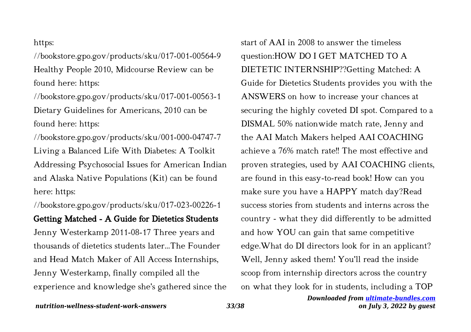### https:

//bookstore.gpo.gov/products/sku/017-001-00564-9 Healthy People 2010, Midcourse Review can be found here: https:

//bookstore.gpo.gov/products/sku/017-001-00563-1 Dietary Guidelines for Americans, 2010 can be found here: https:

//bookstore.gpo.gov/products/sku/001-000-04747-7 Living a Balanced Life With Diabetes: A Toolkit Addressing Psychosocial Issues for American Indian and Alaska Native Populations (Kit) can be found here: https:

//bookstore.gpo.gov/products/sku/017-023-00226-1 Getting Matched - A Guide for Dietetics Students Jenny Westerkamp 2011-08-17 Three years and thousands of dietetics students later...The Founder and Head Match Maker of All Access Internships, Jenny Westerkamp, finally compiled all the experience and knowledge she's gathered since the start of AAI in 2008 to answer the timeless question:HOW DO I GET MATCHED TO A DIETETIC INTERNSHIP??Getting Matched: A Guide for Dietetics Students provides you with the ANSWERS on how to increase your chances at securing the highly coveted DI spot. Compared to a DISMAL 50% nationwide match rate, Jenny and the AAI Match Makers helped AAI COACHING achieve a 76% match rate!! The most effective and proven strategies, used by AAI COACHING clients, are found in this easy-to-read book! How can you make sure you have a HAPPY match day?Read success stories from students and interns across the country - what they did differently to be admitted and how YOU can gain that same competitive edge.What do DI directors look for in an applicant? Well, Jenny asked them! You'll read the inside scoop from internship directors across the country on what they look for in students, including a TOP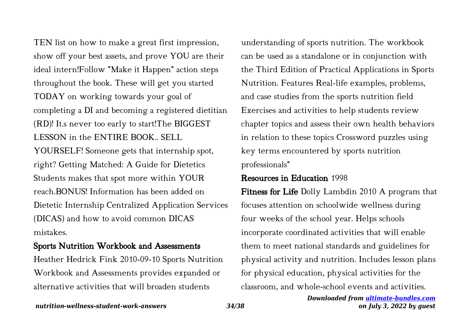TEN list on how to make a great first impression, show off your best assets, and prove YOU are their ideal intern!Follow "Make it Happen" action steps throughout the book. These will get you started TODAY on working towards your goal of completing a DI and becoming a registered dietitian (RD)! It.s never too early to start!The BIGGEST LESSON in the ENTIRE BOOK.. SELL YOURSELF! Someone gets that internship spot, right? Getting Matched: A Guide for Dietetics Students makes that spot more within YOUR reach.BONUS! Information has been added on Dietetic Internship Centralized Application Services (DICAS) and how to avoid common DICAS mistakes.

## Sports Nutrition Workbook and Assessments

Heather Hedrick Fink 2010-09-10 Sports Nutrition Workbook and Assessments provides expanded or alternative activities that will broaden students

understanding of sports nutrition. The workbook can be used as a standalone or in conjunction with the Third Edition of Practical Applications in Sports Nutrition. Features Real-life examples, problems, and case studies from the sports nutrition field Exercises and activities to help students review chapter topics and assess their own health behaviors in relation to these topics Crossword puzzles using key terms encountered by sports nutrition professionals"

### Resources in Education 1998

Fitness for Life Dolly Lambdin 2010 A program that focuses attention on schoolwide wellness during four weeks of the school year. Helps schools incorporate coordinated activities that will enable them to meet national standards and guidelines for physical activity and nutrition. Includes lesson plans for physical education, physical activities for the classroom, and whole-school events and activities.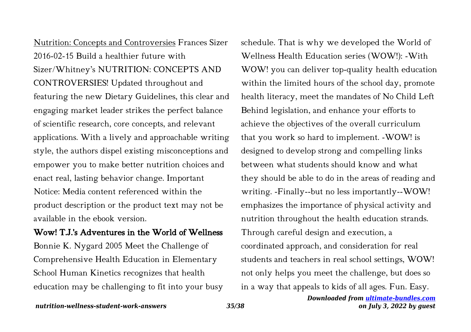Nutrition: Concepts and Controversies Frances Sizer 2016-02-15 Build a healthier future with Sizer/Whitney's NUTRITION: CONCEPTS AND CONTROVERSIES! Updated throughout and featuring the new Dietary Guidelines, this clear and engaging market leader strikes the perfect balance of scientific research, core concepts, and relevant applications. With a lively and approachable writing style, the authors dispel existing misconceptions and empower you to make better nutrition choices and enact real, lasting behavior change. Important Notice: Media content referenced within the product description or the product text may not be available in the ebook version.

### Wow! T.J.'s Adventures in the World of Wellness

Bonnie K. Nygard 2005 Meet the Challenge of Comprehensive Health Education in Elementary School Human Kinetics recognizes that health education may be challenging to fit into your busy schedule. That is why we developed the World of Wellness Health Education series (WOW!): -With WOW! you can deliver top-quality health education within the limited hours of the school day, promote health literacy, meet the mandates of No Child Left Behind legislation, and enhance your efforts to achieve the objectives of the overall curriculum that you work so hard to implement. -WOW! is designed to develop strong and compelling links between what students should know and what they should be able to do in the areas of reading and writing. -Finally--but no less importantly--WOW! emphasizes the importance of physical activity and nutrition throughout the health education strands. Through careful design and execution, a coordinated approach, and consideration for real students and teachers in real school settings, WOW! not only helps you meet the challenge, but does so in a way that appeals to kids of all ages. Fun. Easy.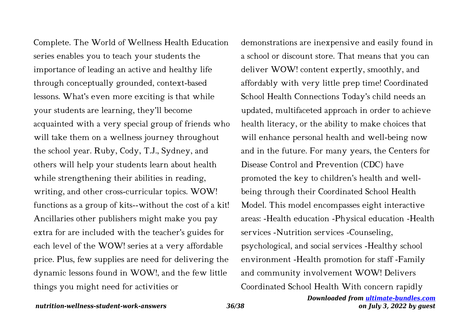Complete. The World of Wellness Health Education series enables you to teach your students the importance of leading an active and healthy life through conceptually grounded, context-based lessons. What's even more exciting is that while your students are learning, they'll become acquainted with a very special group of friends who will take them on a wellness journey throughout the school year. Ruby, Cody, T.J., Sydney, and others will help your students learn about health while strengthening their abilities in reading, writing, and other cross-curricular topics. WOW! functions as a group of kits--without the cost of a kit! Ancillaries other publishers might make you pay extra for are included with the teacher's guides for each level of the WOW! series at a very affordable price. Plus, few supplies are need for delivering the dynamic lessons found in WOW!, and the few little things you might need for activities or

demonstrations are inexpensive and easily found in a school or discount store. That means that you can deliver WOW! content expertly, smoothly, and affordably with very little prep time! Coordinated School Health Connections Today's child needs an updated, multifaceted approach in order to achieve health literacy, or the ability to make choices that will enhance personal health and well-being now and in the future. For many years, the Centers for Disease Control and Prevention (CDC) have promoted the key to children's health and wellbeing through their Coordinated School Health Model. This model encompasses eight interactive areas: -Health education -Physical education -Health services -Nutrition services -Counseling, psychological, and social services -Healthy school environment -Health promotion for staff -Family and community involvement WOW! Delivers Coordinated School Health With concern rapidly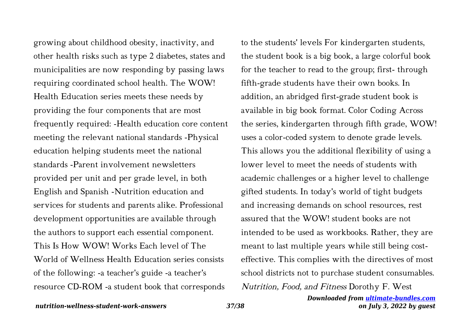growing about childhood obesity, inactivity, and other health risks such as type 2 diabetes, states and municipalities are now responding by passing laws requiring coordinated school health. The WOW! Health Education series meets these needs by providing the four components that are most frequently required: -Health education core content meeting the relevant national standards -Physical education helping students meet the national standards -Parent involvement newsletters provided per unit and per grade level, in both English and Spanish -Nutrition education and services for students and parents alike. Professional development opportunities are available through the authors to support each essential component. This Is How WOW! Works Each level of The World of Wellness Health Education series consists of the following: -a teacher's guide -a teacher's resource CD-ROM -a student book that corresponds

to the students' levels For kindergarten students, the student book is a big book, a large colorful book for the teacher to read to the group; first- through fifth-grade students have their own books. In addition, an abridged first-grade student book is available in big book format. Color Coding Across the series, kindergarten through fifth grade, WOW! uses a color-coded system to denote grade levels. This allows you the additional flexibility of using a lower level to meet the needs of students with academic challenges or a higher level to challenge gifted students. In today's world of tight budgets and increasing demands on school resources, rest assured that the WOW! student books are not intended to be used as workbooks. Rather, they are meant to last multiple years while still being costeffective. This complies with the directives of most school districts not to purchase student consumables. Nutrition, Food, and Fitness Dorothy F. West

> *Downloaded from [ultimate-bundles.com](http://ultimate-bundles.com) on July 3, 2022 by guest*

### *nutrition-wellness-student-work-answers 37/38*